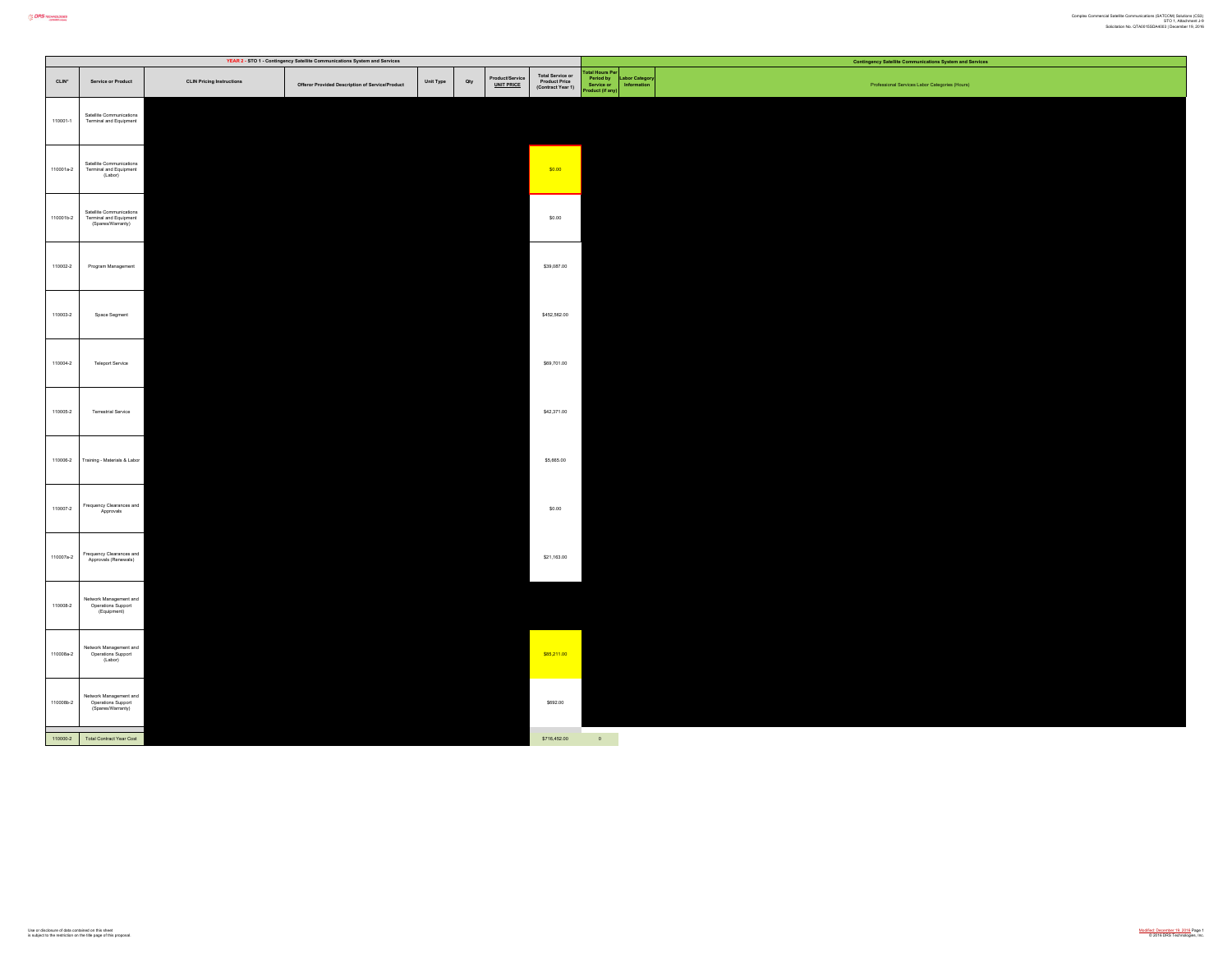|           |                                                                         |                                  | YEAR 2 - STO 1 - Contingency Satellite Communications System and Services |           |     |                                      |                                                        |                                                                   |                            | <b>Contingency Satellite Communications System and Services</b> |
|-----------|-------------------------------------------------------------------------|----------------------------------|---------------------------------------------------------------------------|-----------|-----|--------------------------------------|--------------------------------------------------------|-------------------------------------------------------------------|----------------------------|-----------------------------------------------------------------|
| CLIN*     | Service or Product                                                      | <b>CLIN Pricing Instructions</b> | Offeror Provided Description of Service/Product                           | Unit Type | Qty | Product/Service<br><u>UNIT PRICE</u> | Total Service or<br>Product Price<br>(Contract Year 1) | <b>otal Hours P</b><br>Period by<br>Service or<br>Iroduct (if any | abor Catego<br>Information | Professional Services Labor Categories (Hours)                  |
| 110001-1  | Satellite Communications<br>Terminal and Equipment                      |                                  |                                                                           |           |     |                                      |                                                        |                                                                   |                            |                                                                 |
| 110001a-2 | Satellite Communications<br>Terminal and Equipment<br>(Labor)           |                                  |                                                                           |           |     |                                      | \$0.00                                                 |                                                                   |                            |                                                                 |
| 110001b-2 | Satellite Communications<br>Terminal and Equipment<br>(Spares/Warranty) |                                  |                                                                           |           |     |                                      | \$0.00                                                 |                                                                   |                            |                                                                 |
| 110002-2  | Program Management                                                      |                                  |                                                                           |           |     |                                      | \$39,087.00                                            |                                                                   |                            |                                                                 |
| 110003-2  | Space Segment                                                           |                                  |                                                                           |           |     |                                      | \$452,562.00                                           |                                                                   |                            |                                                                 |
| 110004-2  | Teleport Service                                                        |                                  |                                                                           |           |     |                                      | \$69,701.00                                            |                                                                   |                            |                                                                 |
| 110005-2  | Terrestrial Service                                                     |                                  |                                                                           |           |     |                                      | \$42,371.00                                            |                                                                   |                            |                                                                 |
| 110006-2  | Training - Materials & Labor                                            |                                  |                                                                           |           |     |                                      | \$5,665.00                                             |                                                                   |                            |                                                                 |
| 110007-2  | Frequency Clearances and<br>Approvals                                   |                                  |                                                                           |           |     |                                      | \$0.00                                                 |                                                                   |                            |                                                                 |
| 110007a-2 | Frequency Clearances and<br>Approvals (Renewals)                        |                                  |                                                                           |           |     |                                      | \$21,163.00                                            |                                                                   |                            |                                                                 |
| 110008-2  | Network Management and<br>Operations Support<br>(Equipment)             |                                  |                                                                           |           |     |                                      |                                                        |                                                                   |                            |                                                                 |
| 110008a-2 | Network Management and<br>Operations Support<br>(Labor)                 |                                  |                                                                           |           |     |                                      | \$85,211.00                                            |                                                                   |                            |                                                                 |
| 110008b-2 | Network Management and<br>Operations Support<br>(Spares/Warranty)       |                                  |                                                                           |           |     |                                      | \$692.00                                               |                                                                   |                            |                                                                 |
|           | 110000-2 Total Contract Year Cost                                       |                                  |                                                                           |           |     |                                      | \$716,452.00                                           | $\sim 0$                                                          |                            |                                                                 |

**CORS** *NONDLOOKS*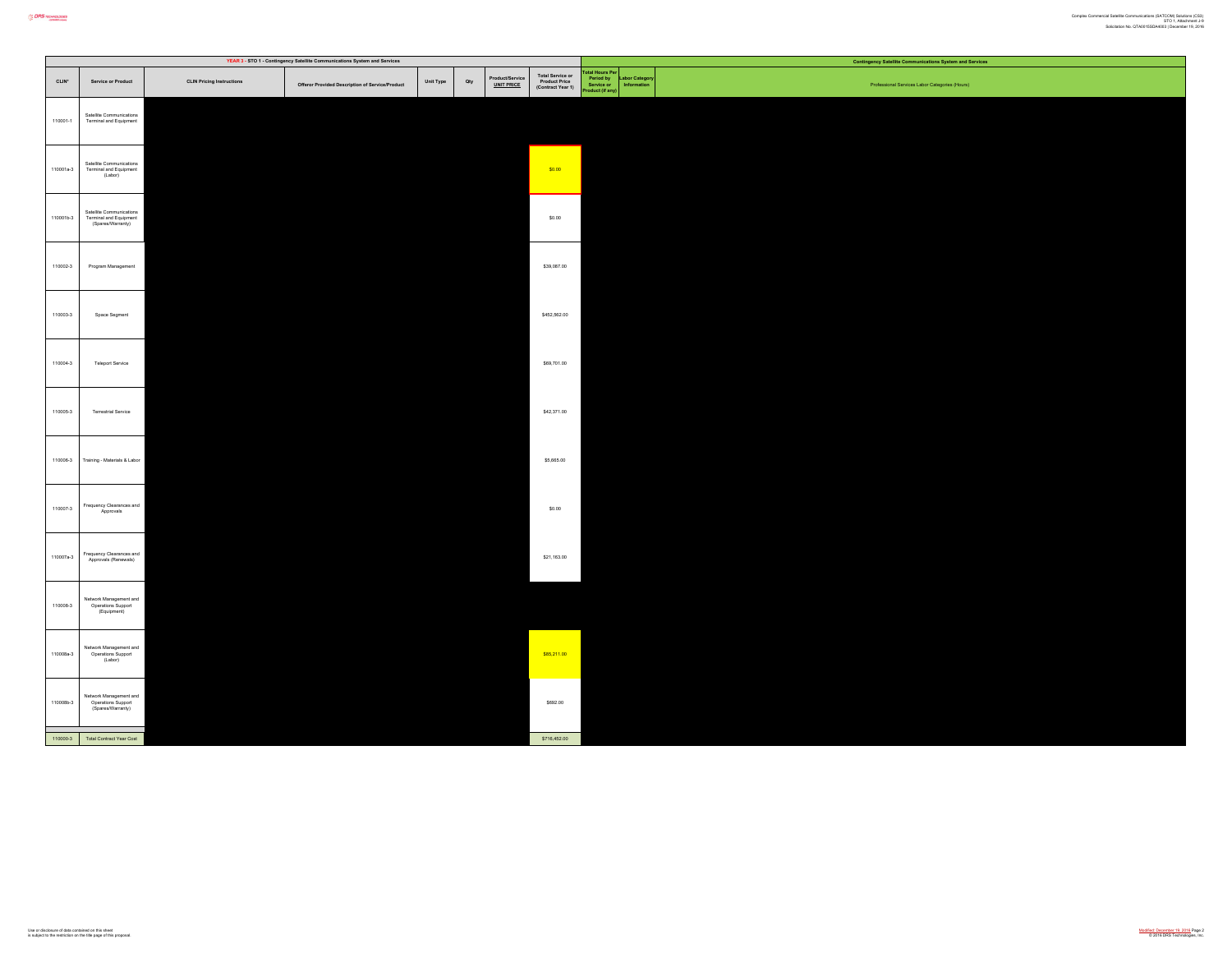|           |                                                                         |                                  | YEAR 3 - STO 1 - Contingency Satellite Communications System and Services |           |     |                                      |                                                        |                                                           |                           | <b>Contingency Satellite Communications System and Services</b> |
|-----------|-------------------------------------------------------------------------|----------------------------------|---------------------------------------------------------------------------|-----------|-----|--------------------------------------|--------------------------------------------------------|-----------------------------------------------------------|---------------------------|-----------------------------------------------------------------|
| $CLIN^*$  | Service or Product                                                      | <b>CLIN Pricing Instructions</b> | Offeror Provided Description of Service/Product                           | Unit Type | Qty | Product/Service<br><u>UNIT PRICE</u> | Total Service or<br>Product Price<br>(Contract Year 1) | stal Hours Per<br>Period by<br>Service or<br>duct (if any | bor Categor<br>Informatio | Professional Services Labor Categories (Hours)                  |
| 110001-1  | Satellite Communications<br>Terminal and Equipment                      |                                  |                                                                           |           |     |                                      |                                                        |                                                           |                           |                                                                 |
| 110001a-3 | Satellite Communications<br>Terminal and Equipment<br>(Labor)           |                                  |                                                                           |           |     |                                      | \$0.00                                                 |                                                           |                           |                                                                 |
| 110001b-3 | Satellite Communications<br>Terminal and Equipment<br>(Spares/Warranty) |                                  |                                                                           |           |     |                                      | \$0.00                                                 |                                                           |                           |                                                                 |
| 110002-3  | Program Management                                                      |                                  |                                                                           |           |     |                                      | \$39,087.00                                            |                                                           |                           |                                                                 |
| 110003-3  | Space Segment                                                           |                                  |                                                                           |           |     |                                      | \$452,562.00                                           |                                                           |                           |                                                                 |
| 110004-3  | Teleport Service                                                        |                                  |                                                                           |           |     |                                      | \$69,701.00                                            |                                                           |                           |                                                                 |
| 110005-3  | Terrestrial Service                                                     |                                  |                                                                           |           |     |                                      | \$42,371.00                                            |                                                           |                           |                                                                 |
| 110006-3  | Training - Materials & Labor                                            |                                  |                                                                           |           |     |                                      | \$5,665.00                                             |                                                           |                           |                                                                 |
| 110007-3  | Frequency Clearances and<br>Approvals                                   |                                  |                                                                           |           |     |                                      | \$0.00                                                 |                                                           |                           |                                                                 |
| 110007a-3 | Frequency Clearances and<br>Approvals (Renewals)                        |                                  |                                                                           |           |     |                                      | \$21,163.00                                            |                                                           |                           |                                                                 |
| 110008-3  | Network Management and<br>Operations Support<br>(Equipment)             |                                  |                                                                           |           |     |                                      |                                                        |                                                           |                           |                                                                 |
| 110008a-3 | Network Management and<br>Operations Support<br>(Labor)                 |                                  |                                                                           |           |     |                                      | \$85,211.00                                            |                                                           |                           |                                                                 |
| 110008b-3 | Network Management and<br>Operations Support<br>(Spares/Warranty)       |                                  |                                                                           |           |     |                                      | \$692.00                                               |                                                           |                           |                                                                 |
|           | 110000-3 Total Contract Year Cost                                       |                                  |                                                                           |           |     |                                      | \$716,452.00                                           |                                                           |                           |                                                                 |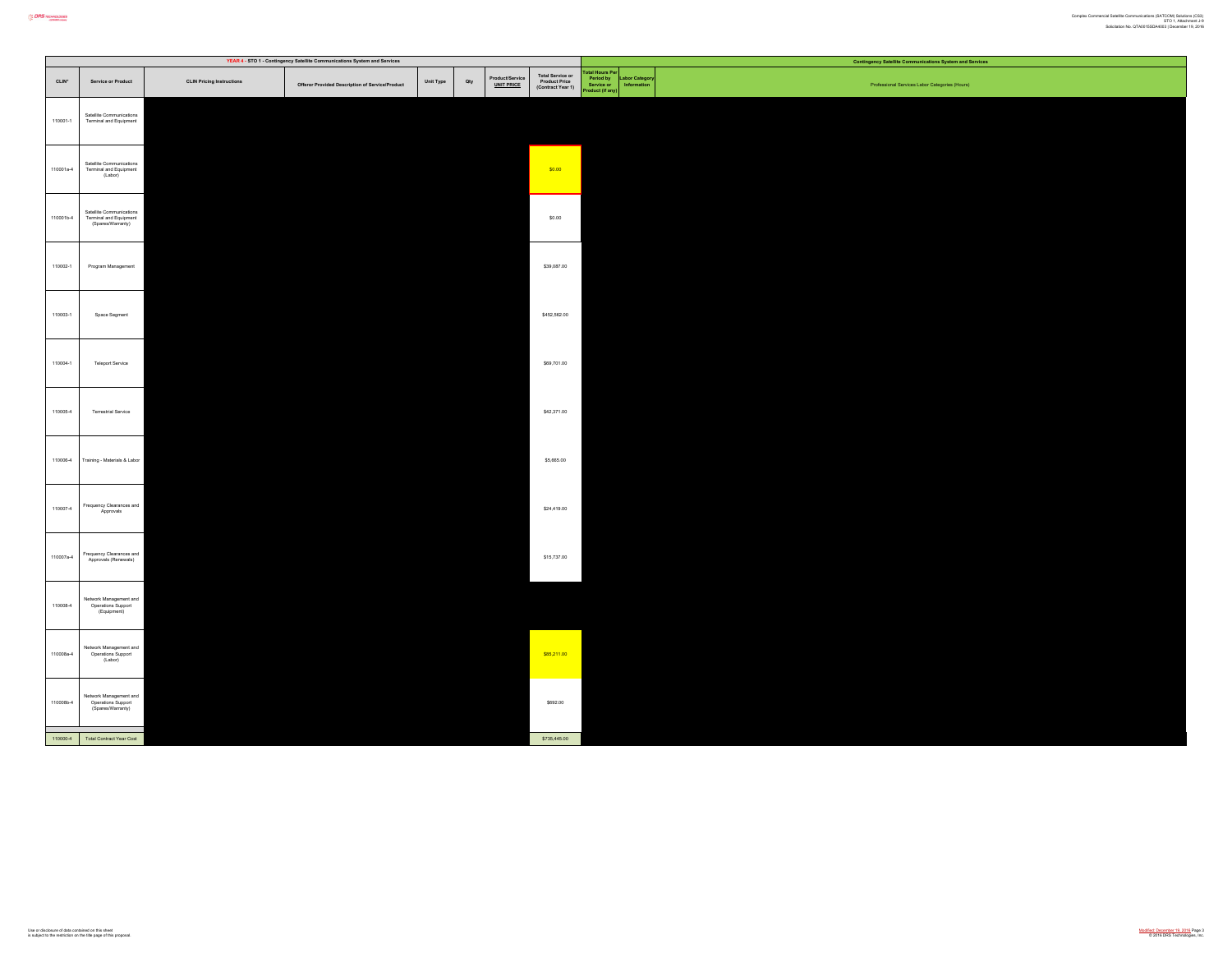|           |                                                                         |                                  | YEAR 4 - STO 1 - Contingency Satellite Communications System and Services |           |     |                                      |                                                        |                                                         |                             | <b>Contingency Satellite Communications System and Services</b> |
|-----------|-------------------------------------------------------------------------|----------------------------------|---------------------------------------------------------------------------|-----------|-----|--------------------------------------|--------------------------------------------------------|---------------------------------------------------------|-----------------------------|-----------------------------------------------------------------|
| CLIN*     | Service or Product                                                      | <b>CLIN Pricing Instructions</b> | Offeror Provided Description of Service/Product                           | Unit Type | Qty | Product/Service<br><u>UNIT PRICE</u> | Total Service or<br>Product Price<br>(Contract Year 1) | tal Hours Per<br>Period by<br>Service or<br>duct (if an | bor Category<br>Information | Professional Services Labor Categories (Hours)                  |
| 110001-1  | Satellite Communications<br>Terminal and Equipment                      |                                  |                                                                           |           |     |                                      |                                                        |                                                         |                             |                                                                 |
| 110001a-4 | Satellite Communications<br>Terminal and Equipment<br>(Labor)           |                                  |                                                                           |           |     |                                      | \$0.00                                                 |                                                         |                             |                                                                 |
| 110001b-4 | Satellite Communications<br>Terminal and Equipment<br>(Spares/Warranty) |                                  |                                                                           |           |     |                                      | \$0.00                                                 |                                                         |                             |                                                                 |
| 110002-1  | Program Management                                                      |                                  |                                                                           |           |     |                                      | \$39,087.00                                            |                                                         |                             |                                                                 |
| 110003-1  | Space Segment                                                           |                                  |                                                                           |           |     |                                      | \$452,562.00                                           |                                                         |                             |                                                                 |
| 110004-1  | <b>Teleport Service</b>                                                 |                                  |                                                                           |           |     |                                      | \$69,701.00                                            |                                                         |                             |                                                                 |
| 110005-4  | Terrestrial Service                                                     |                                  |                                                                           |           |     |                                      | \$42,371.00                                            |                                                         |                             |                                                                 |
| 110006-4  | Training - Materials & Labor                                            |                                  |                                                                           |           |     |                                      | \$5,665.00                                             |                                                         |                             |                                                                 |
| 110007-4  | Frequency Clearances and<br>Approvals                                   |                                  |                                                                           |           |     |                                      | \$24,419.00                                            |                                                         |                             |                                                                 |
| 110007a-4 | Frequency Clearances and<br>Approvals (Renewals)                        |                                  |                                                                           |           |     |                                      | \$15,737.00                                            |                                                         |                             |                                                                 |
| 110008-4  | Network Management and<br>Operations Support<br>(Equipment)             |                                  |                                                                           |           |     |                                      |                                                        |                                                         |                             |                                                                 |
| 110008a-4 | Network Management and<br>Operations Support<br>(Labor)                 |                                  |                                                                           |           |     |                                      | \$85,211.00                                            |                                                         |                             |                                                                 |
| 110008b-4 | Network Management and<br>Operations Support<br>(Spares/Warranty)       |                                  |                                                                           |           |     |                                      | \$692.00                                               |                                                         |                             |                                                                 |
|           | 110000-4 Total Contract Year Cost                                       |                                  |                                                                           |           |     |                                      | \$735,445.00                                           |                                                         |                             |                                                                 |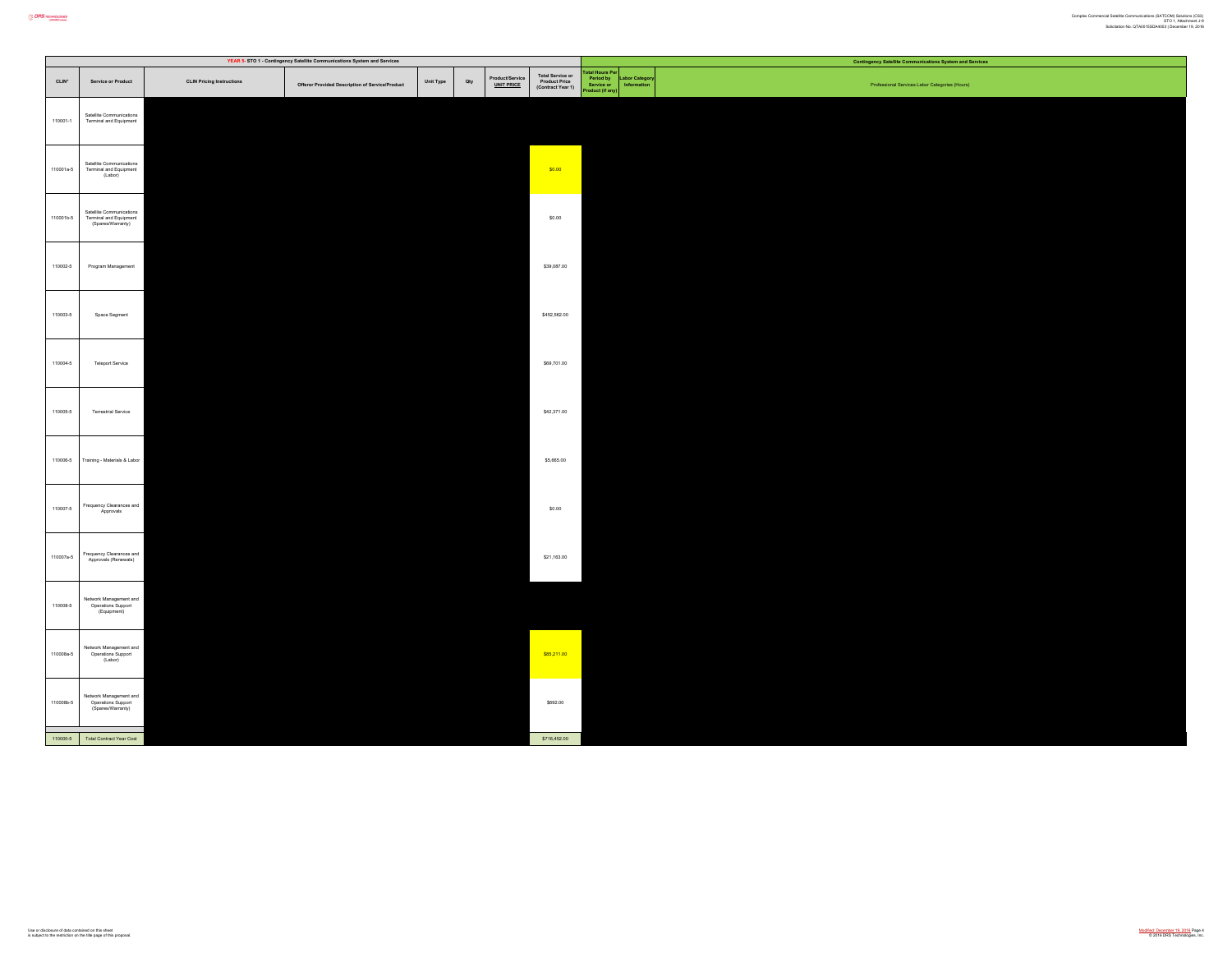|           |                                                                         |                                  | YEAR 5- STO 1 - Contingency Satellite Communications System and Services |           |     |                               |                                                        |                                                       |                              | <b>Contingency Satellite Communications System and Services</b> |
|-----------|-------------------------------------------------------------------------|----------------------------------|--------------------------------------------------------------------------|-----------|-----|-------------------------------|--------------------------------------------------------|-------------------------------------------------------|------------------------------|-----------------------------------------------------------------|
| CLIN*     | Service or Product                                                      | <b>CLIN Pricing Instructions</b> | Offeror Provided Description of Service/Product                          | Unit Type | Qty | Product/Service<br>UNIT PRICE | Total Service or<br>Product Price<br>(Contract Year 1) | stal Hours Po<br>Period by<br>Service or<br>uct (if a | abor Category<br>Information | Professional Services Labor Categories (Hours)                  |
| 110001-1  | Satellite Communications<br>Terminal and Equipment                      |                                  |                                                                          |           |     |                               |                                                        |                                                       |                              |                                                                 |
| 110001a-5 | Satellite Communications<br>Terminal and Equipment<br>(Labor)           |                                  |                                                                          |           |     |                               | \$0.00                                                 |                                                       |                              |                                                                 |
| 110001b-5 | Satellite Communications<br>Terminal and Equipment<br>(Spares/Warranty) |                                  |                                                                          |           |     |                               | \$0.00                                                 |                                                       |                              |                                                                 |
| 110002-5  | Program Management                                                      |                                  |                                                                          |           |     |                               | \$39,087.00                                            |                                                       |                              |                                                                 |
| 110003-5  | Space Segment                                                           |                                  |                                                                          |           |     |                               | \$452,562.00                                           |                                                       |                              |                                                                 |
| 110004-5  | Teleport Service                                                        |                                  |                                                                          |           |     |                               | \$69,701.00                                            |                                                       |                              |                                                                 |
| 110005-5  | Terrestrial Service                                                     |                                  |                                                                          |           |     |                               | \$42,371.00                                            |                                                       |                              |                                                                 |
| 110006-5  | Training - Materials & Labor                                            |                                  |                                                                          |           |     |                               | \$5,665.00                                             |                                                       |                              |                                                                 |
| 110007-6  | Frequency Clearances and<br>Approvals                                   |                                  |                                                                          |           |     |                               | \$0.00                                                 |                                                       |                              |                                                                 |
| 110007a-5 | Frequency Clearances and<br>Approvals (Renewals)                        |                                  |                                                                          |           |     |                               | \$21,163.00                                            |                                                       |                              |                                                                 |
| 110008-5  | Network Management and<br>Operations Support<br>(Equipment)             |                                  |                                                                          |           |     |                               |                                                        |                                                       |                              |                                                                 |
| 110008a-5 | Network Management and<br>Operations Support<br>(Labor)                 |                                  |                                                                          |           |     |                               | \$85,211.00                                            |                                                       |                              |                                                                 |
| 110008b-5 | Network Management and<br>Operations Support<br>(Spares/Warranty)       |                                  |                                                                          |           |     |                               | \$692.00                                               |                                                       |                              |                                                                 |
| 110000-5  | Total Contract Year Cost                                                |                                  |                                                                          |           |     |                               | \$716,452.00                                           |                                                       |                              |                                                                 |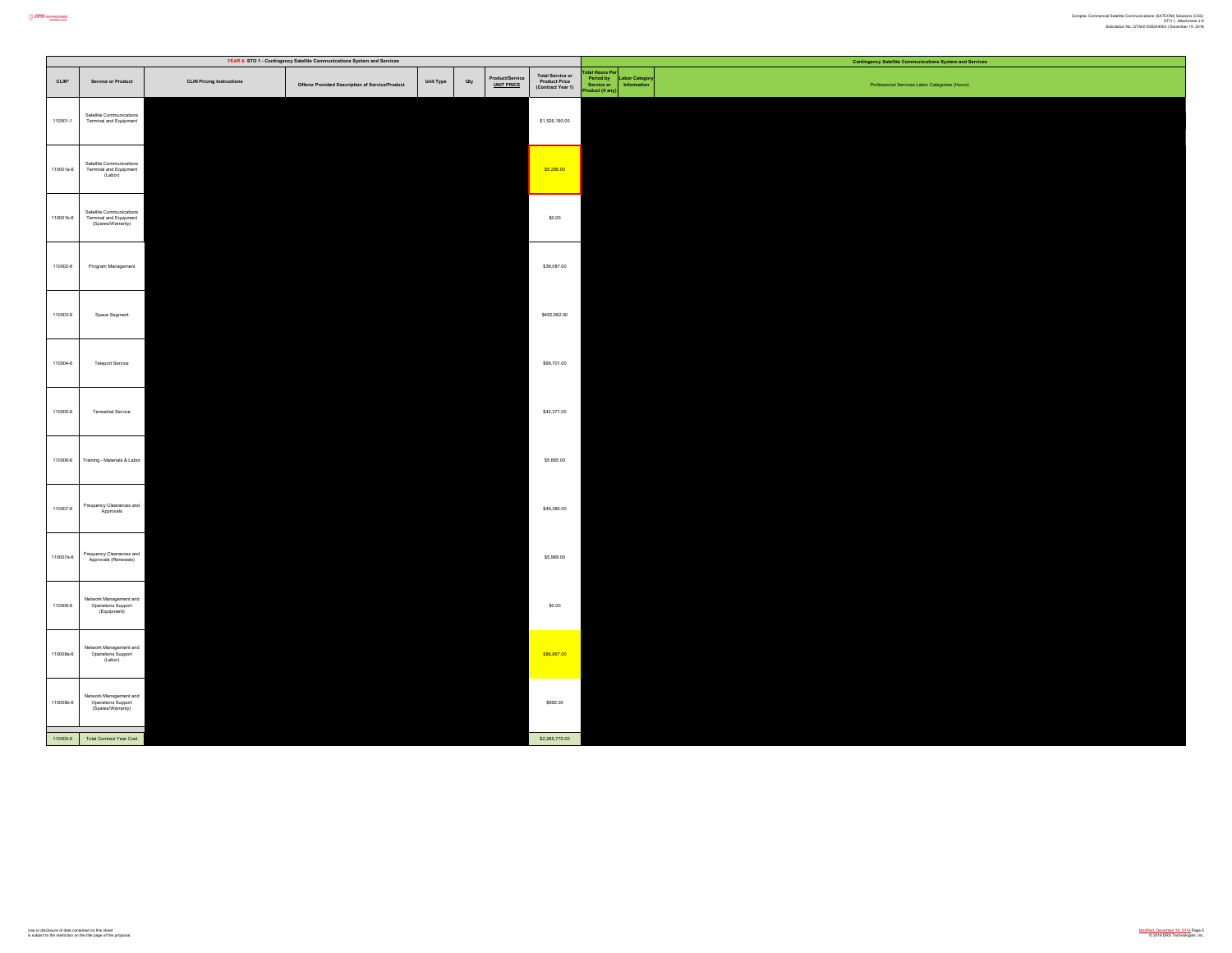|           |                                                                         |                                  | YEAR 6- STO 1 - Contingency Satellite Communications System and Services |           |     |                                      |                                                        |                                                             |             | <b>Contingency Satellite Communications System and Services</b> |
|-----------|-------------------------------------------------------------------------|----------------------------------|--------------------------------------------------------------------------|-----------|-----|--------------------------------------|--------------------------------------------------------|-------------------------------------------------------------|-------------|-----------------------------------------------------------------|
| CLIN*     | Service or Product                                                      | <b>CLIN Pricing Instructions</b> | Offeror Provided Description of Service/Product                          | Unit Type | Qty | Product/Service<br><u>UNIT PRICE</u> | Total Service or<br>Product Price<br>(Contract Year 1) | stal Hours Per<br>Period by<br>Service or<br>roduct (if any | or Category | Professional Services Labor Categories (Hours)                  |
| 110001-1  | Satellite Communications<br>Terminal and Equipment                      |                                  |                                                                          |           |     |                                      | \$1,526,190.00                                         |                                                             |             |                                                                 |
| 110001a-6 | Satellite Communications<br>Terminal and Equipment<br>(Labor)           |                                  |                                                                          |           |     |                                      | \$5,288.00                                             |                                                             |             |                                                                 |
| 110001b-6 | Satellite Communications<br>Terminal and Equipment<br>(Spares/Warranty) |                                  |                                                                          |           |     |                                      | \$0.00                                                 |                                                             |             |                                                                 |
| 110002-6  | Program Management                                                      |                                  |                                                                          |           |     |                                      | \$39,087.00                                            |                                                             |             |                                                                 |
| 110003-6  | Space Segment                                                           |                                  |                                                                          |           |     |                                      | \$452,562.00                                           |                                                             |             |                                                                 |
| 110004-6  | <b>Teleport Service</b>                                                 |                                  |                                                                          |           |     |                                      | \$69,701.00                                            |                                                             |             |                                                                 |
| 110005-6  | Terrestrial Service                                                     |                                  |                                                                          |           |     |                                      | \$42,371.00                                            |                                                             |             |                                                                 |
| 110006-6  | Training - Materials & Labor                                            |                                  |                                                                          |           |     |                                      | \$5,665.00                                             |                                                             |             |                                                                 |
| 110007-6  | Frequency Clearances and<br>Approvals                                   |                                  |                                                                          |           |     |                                      | \$49,380.00                                            |                                                             |             |                                                                 |
| 110007a-6 | Frequency Clearances and<br>Approvals (Renewals)                        |                                  |                                                                          |           |     |                                      | \$5,969.00                                             |                                                             |             |                                                                 |
| 110008-6  | Network Management and<br>Operations Support<br>(Equipment)             |                                  |                                                                          |           |     |                                      | \$0.00                                                 |                                                             |             |                                                                 |
| 110008a-6 | Network Management and<br>Operations Support<br>(Labor)                 |                                  |                                                                          |           |     |                                      | \$88,867.00                                            |                                                             |             |                                                                 |
| 110008b-6 | Network Management and<br>Operations Support<br>(Spares/Warranty)       |                                  |                                                                          |           |     |                                      | \$692.00                                               |                                                             |             |                                                                 |
|           | 110000-6 Total Contract Year Cost                                       |                                  |                                                                          |           |     |                                      | \$2,285,772.00                                         |                                                             |             |                                                                 |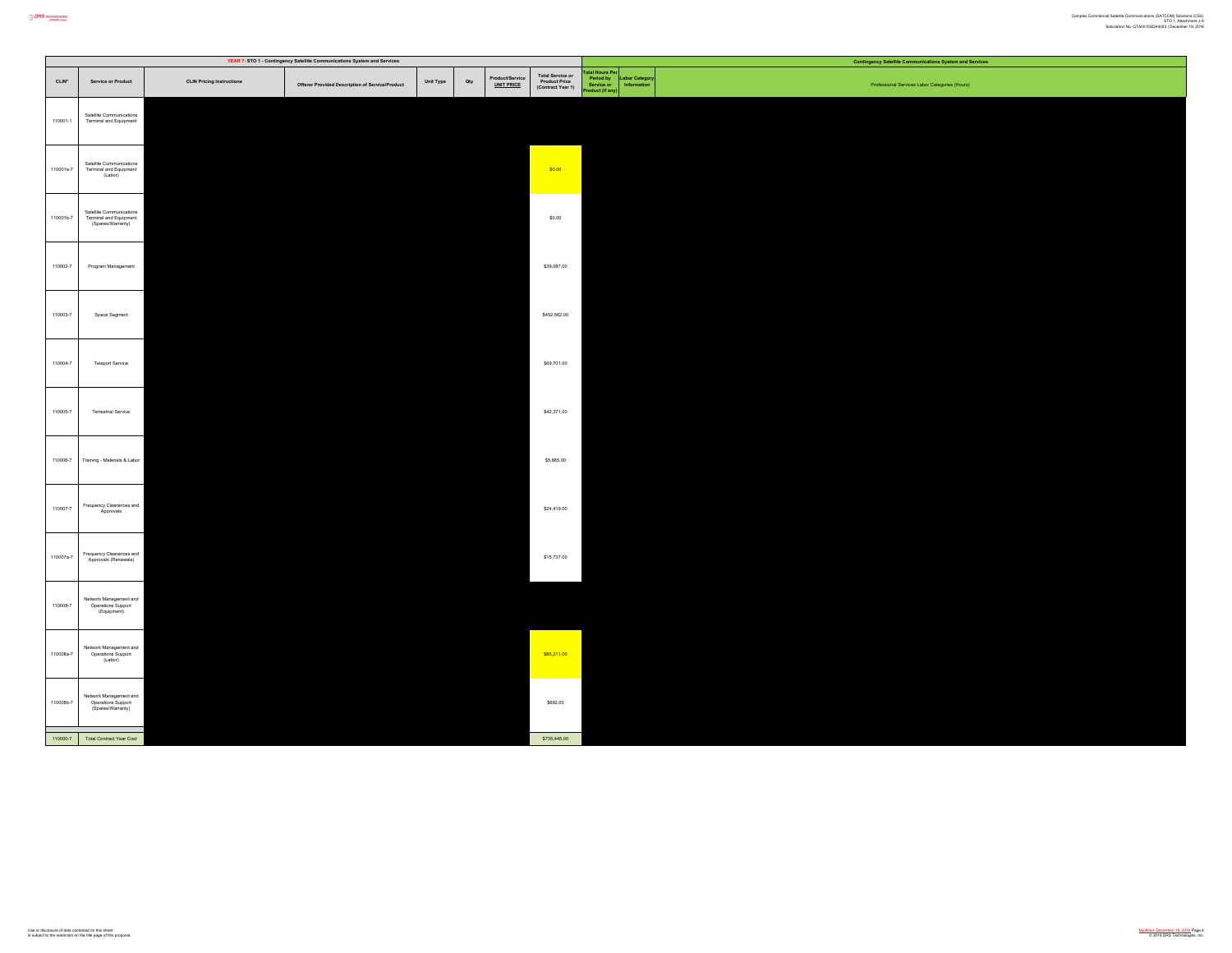|           | YEAR 7- STO 1 - Contingency Satellite Communications System and Services |                                  |                                                 |                  |                              |                                                        | <b>Contingency Satellite Communications System and Services</b>       |                                                |  |  |  |  |
|-----------|--------------------------------------------------------------------------|----------------------------------|-------------------------------------------------|------------------|------------------------------|--------------------------------------------------------|-----------------------------------------------------------------------|------------------------------------------------|--|--|--|--|
| $CLIN*$   | Service or Product                                                       | <b>CLIN Pricing Instructions</b> | Offeror Provided Description of Service/Product | Unit Type<br>Qty | Product/Servic<br>UNIT PRICE | Total Service or<br>Product Price<br>(Contract Year 1) | tal Hours Pe<br>abor Categor<br>Period by<br>Service or<br>luet fif a | Professional Services Labor Categories (Hours) |  |  |  |  |
| 110001-1  | Satellite Communications<br>Terminal and Equipment                       |                                  |                                                 |                  |                              |                                                        |                                                                       |                                                |  |  |  |  |
| 110001a-7 | Satellite Communications<br>Terminal and Equipment<br>(Labor)            |                                  |                                                 |                  |                              | \$0.00                                                 |                                                                       |                                                |  |  |  |  |
| 110001b-7 | Satellite Communications<br>Terminal and Equipment<br>(Spares/Warranty)  |                                  |                                                 |                  |                              | \$0.00                                                 |                                                                       |                                                |  |  |  |  |
| 110002-7  | Program Management                                                       |                                  |                                                 |                  |                              | \$39,087.00                                            |                                                                       |                                                |  |  |  |  |
| 110003-7  | Space Segment                                                            |                                  |                                                 |                  |                              | \$452,562.00                                           |                                                                       |                                                |  |  |  |  |
| 110004-7  | Teleport Service                                                         |                                  |                                                 |                  |                              | \$69,701.00                                            |                                                                       |                                                |  |  |  |  |
| 110005-7  | <b>Terrestrial Service</b>                                               |                                  |                                                 |                  |                              | \$42,371.00                                            |                                                                       |                                                |  |  |  |  |
| 110006-7  | Training - Materials & Labor                                             |                                  |                                                 |                  |                              | \$5,665.00                                             |                                                                       |                                                |  |  |  |  |
| 110007-7  | Frequency Clearances and<br>Approvals                                    |                                  |                                                 |                  |                              | \$24,419.00                                            |                                                                       |                                                |  |  |  |  |
| 110007a-7 | Frequency Clearances and<br>Approvals (Renewals)                         |                                  |                                                 |                  |                              | \$15,737.00                                            |                                                                       |                                                |  |  |  |  |
| 110008-7  | Network Management and<br>Operations Support<br>(Equipment)              |                                  |                                                 |                  |                              |                                                        |                                                                       |                                                |  |  |  |  |
| 110008a-7 | Network Management and<br>Operations Support<br>(Labor)                  |                                  |                                                 |                  |                              | \$85,211.00                                            |                                                                       |                                                |  |  |  |  |
| 110008b-7 | Network Management and<br>Operations Support<br>(Spares/Warranty)        |                                  |                                                 |                  |                              | \$692.00                                               |                                                                       |                                                |  |  |  |  |
|           | 110000-7 Total Contract Year Cost                                        |                                  |                                                 |                  |                              | \$735,445.00                                           |                                                                       |                                                |  |  |  |  |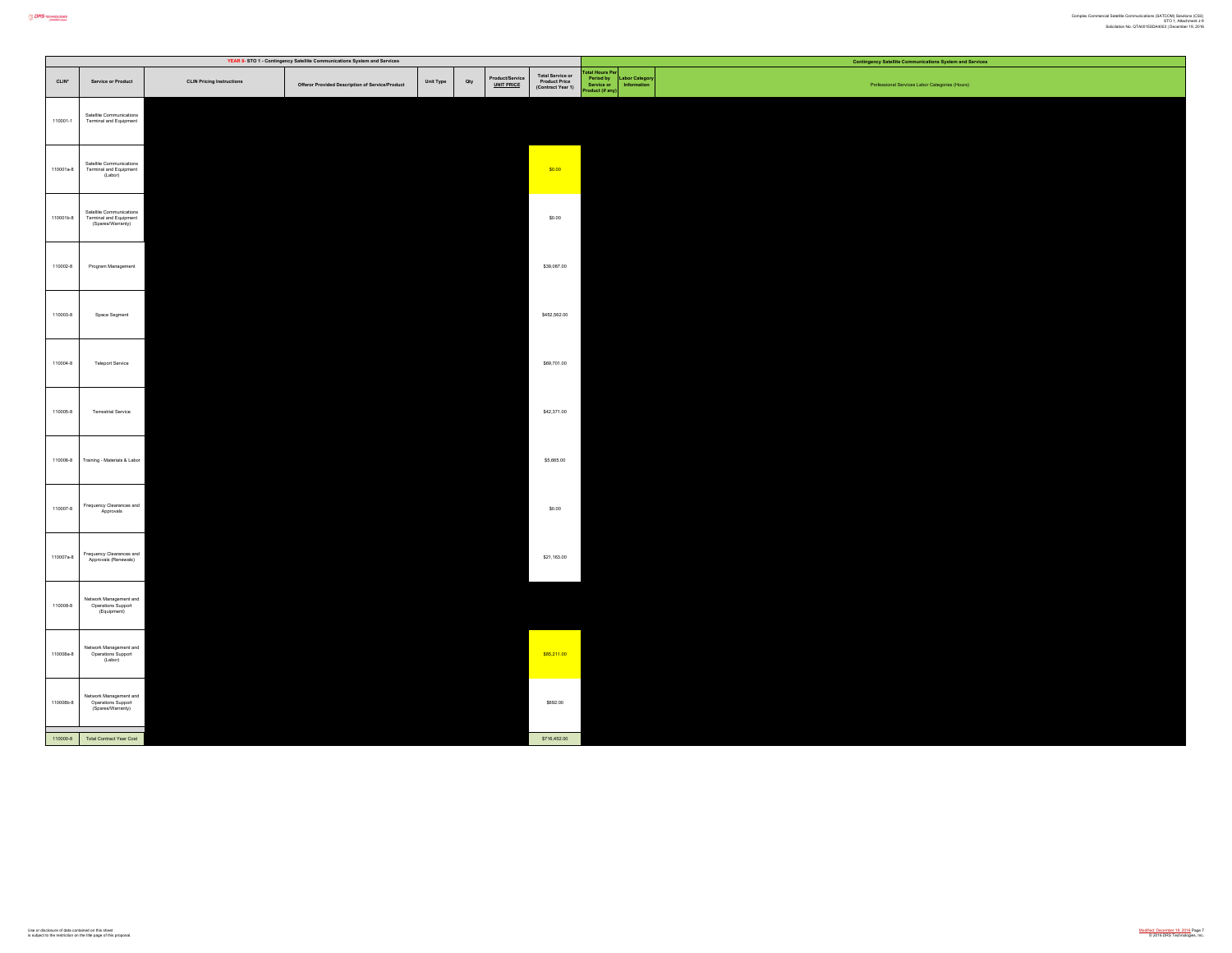|           |                                                                         |                                  | YEAR 8- STO 1 - Contingency Satellite Communications System and Services |           |     |                                      |                                                        |                                                        | <b>Contingency Satellite Communications System and Services</b> |
|-----------|-------------------------------------------------------------------------|----------------------------------|--------------------------------------------------------------------------|-----------|-----|--------------------------------------|--------------------------------------------------------|--------------------------------------------------------|-----------------------------------------------------------------|
| $CLIN*$   | <b>Service or Product</b>                                               | <b>CLIN Pricing Instructions</b> | Offeror Provided Description of Service/Product                          | Unit Type | Qty | Product/Service<br><u>UNIT PRICE</u> | Total Service or<br>Product Price<br>(Contract Year 1) | tal Hours Pe<br>Period by<br>Service or<br>duct (if an | bor Catego<br>Professional Services Labor Categories (Hours)    |
| 110001-1  | Satellite Communications<br>Terminal and Equipment                      |                                  |                                                                          |           |     |                                      |                                                        |                                                        |                                                                 |
| 110001a-8 | Satellite Communications<br>Terminal and Equipment<br>(Labor)           |                                  |                                                                          |           |     |                                      | \$0.00                                                 |                                                        |                                                                 |
| 110001b-8 | Satellite Communications<br>Terminal and Equipment<br>(Spares/Warranty) |                                  |                                                                          |           |     |                                      | \$0.00                                                 |                                                        |                                                                 |
| 110002-8  | Program Management                                                      |                                  |                                                                          |           |     |                                      | \$39,087.00                                            |                                                        |                                                                 |
| 110003-8  | Space Segment                                                           |                                  |                                                                          |           |     |                                      | \$452,562.00                                           |                                                        |                                                                 |
| 110004-8  | <b>Teleport Service</b>                                                 |                                  |                                                                          |           |     |                                      | \$69,701.00                                            |                                                        |                                                                 |
| 110005-8  | Terrestrial Service                                                     |                                  |                                                                          |           |     |                                      | \$42,371.00                                            |                                                        |                                                                 |
| 110006-8  | Training - Materials & Labor                                            |                                  |                                                                          |           |     |                                      | \$5,665.00                                             |                                                        |                                                                 |
| 110007-8  | Frequency Clearances and<br>Approvals                                   |                                  |                                                                          |           |     |                                      | \$0.00                                                 |                                                        |                                                                 |
| 110007a-8 | Frequency Clearances and<br>Approvals (Renewals)                        |                                  |                                                                          |           |     |                                      | \$21,163.00                                            |                                                        |                                                                 |
| 110008-8  | Network Management and<br>Operations Support<br>(Equipment)             |                                  |                                                                          |           |     |                                      |                                                        |                                                        |                                                                 |
| 110008a-8 | Network Management and<br>Operations Support<br>(Labor)                 |                                  |                                                                          |           |     |                                      | \$85,211.00                                            |                                                        |                                                                 |
| 110008b-8 | Network Management and<br>Operations Support<br>(Spares/Warranty)       |                                  |                                                                          |           |     |                                      | \$692.00                                               |                                                        |                                                                 |
|           | 110000-8 Total Contract Year Cost                                       |                                  |                                                                          |           |     |                                      | \$716,452.00                                           |                                                        |                                                                 |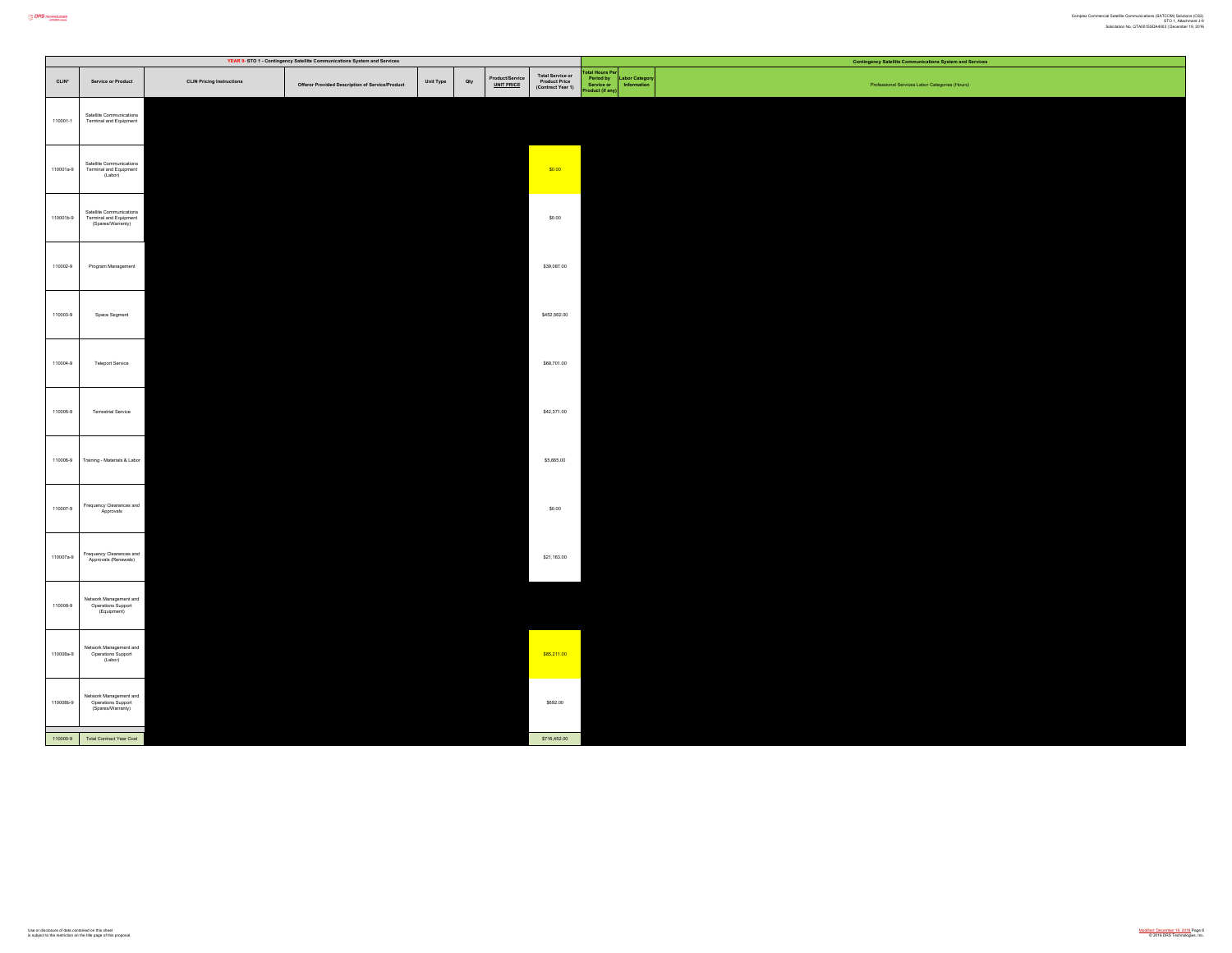|           |                                                                         |                                  | YEAR 9- STO 1 - Contingency Satellite Communications System and Services |           |     |                                      |                                                        |                                                        | <b>Contingency Satellite Communications System and Services</b> |
|-----------|-------------------------------------------------------------------------|----------------------------------|--------------------------------------------------------------------------|-----------|-----|--------------------------------------|--------------------------------------------------------|--------------------------------------------------------|-----------------------------------------------------------------|
| $CLIN*$   | <b>Service or Product</b>                                               | <b>CLIN Pricing Instructions</b> | Offeror Provided Description of Service/Product                          | Unit Type | Qty | Product/Service<br><u>UNIT PRICE</u> | Total Service or<br>Product Price<br>(Contract Year 1) | tal Hours Pe<br>Period by<br>Service or<br>duct (if an | bor Catego<br>Professional Services Labor Categories (Hours)    |
| 110001-1  | Satellite Communications<br>Terminal and Equipment                      |                                  |                                                                          |           |     |                                      |                                                        |                                                        |                                                                 |
| 110001a-9 | Satellite Communications<br>Terminal and Equipment<br>(Labor)           |                                  |                                                                          |           |     |                                      | \$0.00                                                 |                                                        |                                                                 |
| 110001b-9 | Satellite Communications<br>Terminal and Equipment<br>(Spares/Warranty) |                                  |                                                                          |           |     |                                      | \$0.00                                                 |                                                        |                                                                 |
| 110002-9  | Program Management                                                      |                                  |                                                                          |           |     |                                      | \$39,087.00                                            |                                                        |                                                                 |
| 110003-9  | Space Segment                                                           |                                  |                                                                          |           |     |                                      | \$452,562.00                                           |                                                        |                                                                 |
| 110004-9  | <b>Teleport Service</b>                                                 |                                  |                                                                          |           |     |                                      | \$69,701.00                                            |                                                        |                                                                 |
| 110005-9  | Terrestrial Service                                                     |                                  |                                                                          |           |     |                                      | \$42,371.00                                            |                                                        |                                                                 |
| 110006-9  | Training - Materials & Labor                                            |                                  |                                                                          |           |     |                                      | \$5,665.00                                             |                                                        |                                                                 |
| 110007-9  | Frequency Clearances and<br>Approvals                                   |                                  |                                                                          |           |     |                                      | \$0.00                                                 |                                                        |                                                                 |
| 110007a-9 | Frequency Clearances and<br>Approvals (Renewals)                        |                                  |                                                                          |           |     |                                      | \$21,163.00                                            |                                                        |                                                                 |
| 110008-9  | Network Management and<br>Operations Support<br>(Equipment)             |                                  |                                                                          |           |     |                                      |                                                        |                                                        |                                                                 |
| 110008a-9 | Network Management and<br>Operations Support<br>(Labor)                 |                                  |                                                                          |           |     |                                      | \$85,211.00                                            |                                                        |                                                                 |
| 110008b-9 | Network Management and<br>Operations Support<br>(Spares/Warranty)       |                                  |                                                                          |           |     |                                      | \$692.00                                               |                                                        |                                                                 |
|           | 110000-9 Total Contract Year Cost                                       |                                  |                                                                          |           |     |                                      | \$716,452.00                                           |                                                        |                                                                 |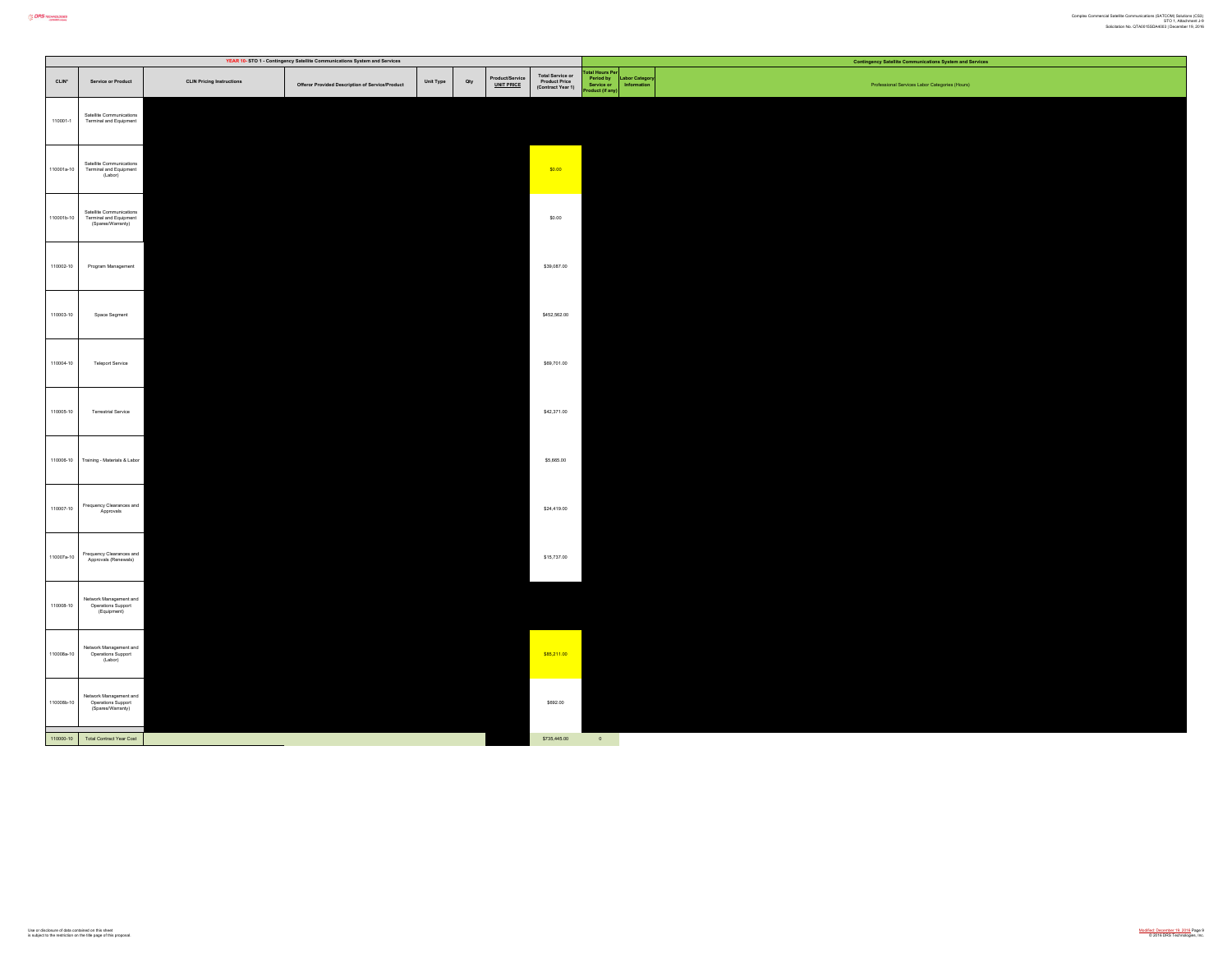|                   |                                                                         |                                  | YEAR 10- STO 1 - Contingency Satellite Communications System and Services |           |     |                              |                                                        |                                                        |                              | <b>Contingency Satellite Communications System and Services</b> |
|-------------------|-------------------------------------------------------------------------|----------------------------------|---------------------------------------------------------------------------|-----------|-----|------------------------------|--------------------------------------------------------|--------------------------------------------------------|------------------------------|-----------------------------------------------------------------|
| CLIN <sup>*</sup> | Service or Product                                                      | <b>CLIN Pricing Instructions</b> | Offeror Provided Description of Service/Product                           | Unit Type | Qty | roduct/Service<br>UNIT PRICE | Total Service or<br>Product Price<br>(Contract Year 1) | tal Hours Pe<br>Period by<br>Service or<br>duct (if am | abor Category<br>Information | Professional Services Labor Categories (Hours)                  |
| 110001-1          | Satellite Communications<br>Terminal and Equipment                      |                                  |                                                                           |           |     |                              |                                                        |                                                        |                              |                                                                 |
| 110001a-10        | Satellite Communications<br>Terminal and Equipment<br>(Labor)           |                                  |                                                                           |           |     |                              | \$0.00                                                 |                                                        |                              |                                                                 |
| 110001b-10        | Satellite Communications<br>Terminal and Equipment<br>(Spares/Warranty) |                                  |                                                                           |           |     |                              | \$0.00                                                 |                                                        |                              |                                                                 |
| 110002-10         | Program Management                                                      |                                  |                                                                           |           |     |                              | \$39,087.00                                            |                                                        |                              |                                                                 |
| 110003-10         | Space Segment                                                           |                                  |                                                                           |           |     |                              | \$452,562.00                                           |                                                        |                              |                                                                 |
| 110004-10         | Teleport Service                                                        |                                  |                                                                           |           |     |                              | \$69,701.00                                            |                                                        |                              |                                                                 |
| 110005-10         | Terrestrial Service                                                     |                                  |                                                                           |           |     |                              | \$42,371.00                                            |                                                        |                              |                                                                 |
| 110006-10         | Training - Materials & Labor                                            |                                  |                                                                           |           |     |                              | \$5,665.00                                             |                                                        |                              |                                                                 |
| 110007-10         | Frequency Clearances and<br>Approvals                                   |                                  |                                                                           |           |     |                              | \$24,419.00                                            |                                                        |                              |                                                                 |
| 110007a-10        | Frequency Clearances and<br>Approvals (Renewals)                        |                                  |                                                                           |           |     |                              | \$15,737.00                                            |                                                        |                              |                                                                 |
| 110008-10         | Network Management and<br>Operations Support<br>(Equipment)             |                                  |                                                                           |           |     |                              |                                                        |                                                        |                              |                                                                 |
| 110008a-10        | Network Management and<br>Operations Support<br>(Labor)                 |                                  |                                                                           |           |     |                              | \$85,211.00                                            |                                                        |                              |                                                                 |
| 110008b-10        | Network Management and<br>Operations Support<br>(Spares/Warranty)       |                                  |                                                                           |           |     |                              | \$692.00                                               |                                                        |                              |                                                                 |
|                   | 110000-10 Total Contract Year Cost                                      |                                  |                                                                           |           |     |                              | \$735,445.00                                           | $\sim 0$                                               |                              |                                                                 |